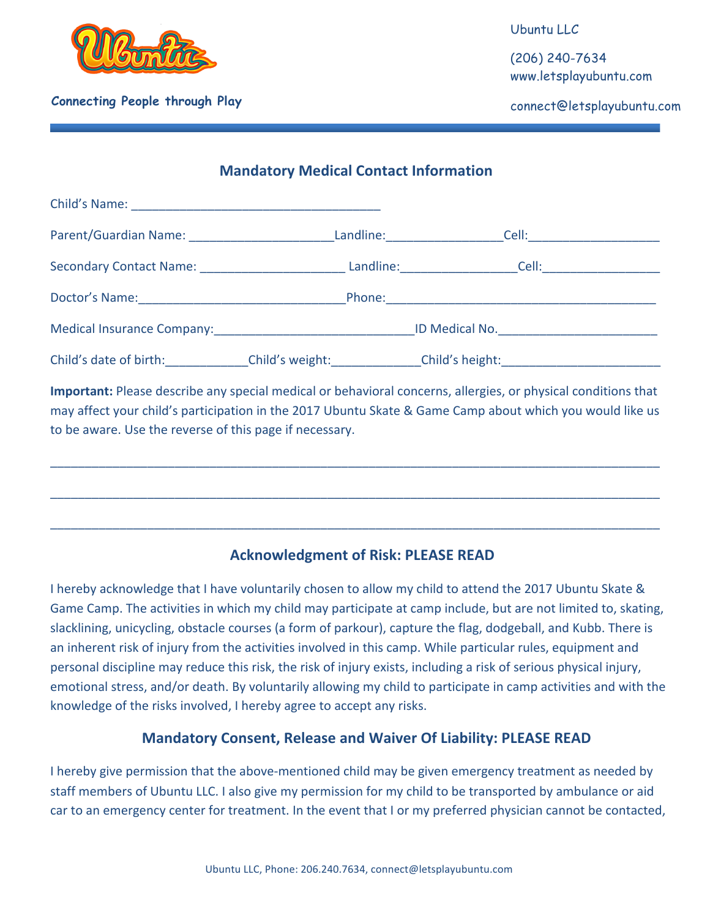

## **Connecting People through Play** and the connect of the connect experiment of the connect experiment of the connect experiment of the connect experiment of the connect experiment of the connect experiment of the connect ex

Ubuntu LLC

(206) 240-7634 www.letsplayubuntu.com

### **Mandatory Medical Contact Information**

| Parent/Guardian Name:                                                                                                                                                                                                          | Landline: and the state of the state of the state of the state of the state of the state of the state of the state of the state of the state of the state of the state of the state of the state of the state of the state of |                        |                                                 |  |
|--------------------------------------------------------------------------------------------------------------------------------------------------------------------------------------------------------------------------------|-------------------------------------------------------------------------------------------------------------------------------------------------------------------------------------------------------------------------------|------------------------|-------------------------------------------------|--|
|                                                                                                                                                                                                                                |                                                                                                                                                                                                                               | Landline: ____________ |                                                 |  |
|                                                                                                                                                                                                                                |                                                                                                                                                                                                                               |                        | Phone: <u>_______________________________</u>   |  |
| Medical Insurance Company: Network and Security and Security and Security and Security and Security and Security and Security and Security and Security and Security and Security and Security and Security and Security and S |                                                                                                                                                                                                                               |                        |                                                 |  |
| Child's date of birth:                                                                                                                                                                                                         |                                                                                                                                                                                                                               |                        | Child's weight: Child's height: Child's height: |  |

**Important:** Please describe any special medical or behavioral concerns, allergies, or physical conditions that may affect your child's participation in the 2017 Ubuntu Skate & Game Camp about which you would like us to be aware. Use the reverse of this page if necessary.

\_\_\_\_\_\_\_\_\_\_\_\_\_\_\_\_\_\_\_\_\_\_\_\_\_\_\_\_\_\_\_\_\_\_\_\_\_\_\_\_\_\_\_\_\_\_\_\_\_\_\_\_\_\_\_\_\_\_\_\_\_\_\_\_\_\_\_\_\_\_\_\_\_\_\_\_\_\_\_\_\_\_\_\_\_\_\_\_

\_\_\_\_\_\_\_\_\_\_\_\_\_\_\_\_\_\_\_\_\_\_\_\_\_\_\_\_\_\_\_\_\_\_\_\_\_\_\_\_\_\_\_\_\_\_\_\_\_\_\_\_\_\_\_\_\_\_\_\_\_\_\_\_\_\_\_\_\_\_\_\_\_\_\_\_\_\_\_\_\_\_\_\_\_\_\_\_

\_\_\_\_\_\_\_\_\_\_\_\_\_\_\_\_\_\_\_\_\_\_\_\_\_\_\_\_\_\_\_\_\_\_\_\_\_\_\_\_\_\_\_\_\_\_\_\_\_\_\_\_\_\_\_\_\_\_\_\_\_\_\_\_\_\_\_\_\_\_\_\_\_\_\_\_\_\_\_\_\_\_\_\_\_\_\_\_

# **Acknowledgment of Risk: PLEASE READ**

I hereby acknowledge that I have voluntarily chosen to allow my child to attend the 2017 Ubuntu Skate & Game Camp. The activities in which my child may participate at camp include, but are not limited to, skating, slacklining, unicycling, obstacle courses (a form of parkour), capture the flag, dodgeball, and Kubb. There is an inherent risk of injury from the activities involved in this camp. While particular rules, equipment and personal discipline may reduce this risk, the risk of injury exists, including a risk of serious physical injury, emotional stress, and/or death. By voluntarily allowing my child to participate in camp activities and with the knowledge of the risks involved, I hereby agree to accept any risks.

### **Mandatory Consent, Release and Waiver Of Liability: PLEASE READ**

I hereby give permission that the above-mentioned child may be given emergency treatment as needed by staff members of Ubuntu LLC. I also give my permission for my child to be transported by ambulance or aid car to an emergency center for treatment. In the event that I or my preferred physician cannot be contacted,